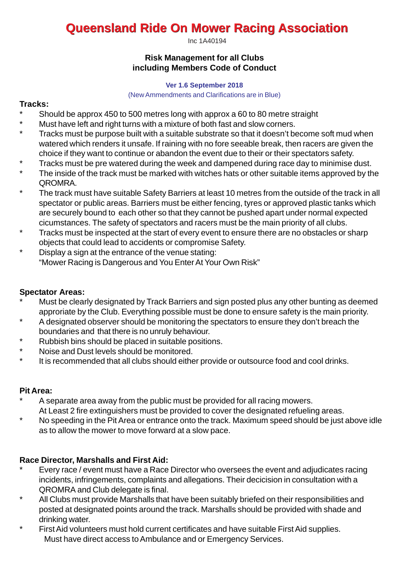# **Queensland Ride On Mower Racing Association**

Inc 1A40194

#### **Risk Management for all Clubs including Members Code of Conduct**

#### **Ver 1.6 September 2018**

#### (New Ammendments and Clarifications are in Blue)

### **Tracks:**

- \* Should be approx 450 to 500 metres long with approx a 60 to 80 metre straight<br>\* Must be yo left and right turns with a mixture of both fest and clear espece.
- \* Must have left and right turns with a mixture of both fast and slow corners.<br>\* Tracks must be purpose built with a suitable substrate so that it doesn't be
- Tracks must be purpose built with a suitable substrate so that it doesn't become soft mud when watered which renders it unsafe. If raining with no fore seeable break, then racers are given the choice if they want to continue or abandon the event due to their or their spectators safety.
- \* Tracks must be pre watered during the week and dampened during race day to minimise dust.<br>\* The inside of the track must be marked with witches hats ar other suitable items approved by the
- The inside of the track must be marked with witches hats or other suitable items approved by the QROMRA.
- \* The track must have suitable Safety Barriers at least 10 metres from the outside of the track in all spectator or public areas. Barriers must be either fencing, tyres or approved plastic tanks which are securely bound to each other so that they cannot be pushed apart under normal expected cicumstances. The safety of spectators and racers must be the main priority of all clubs.
- \* Tracks must be inspected at the start of every event to ensure there are no obstacles or sharp objects that could lead to accidents or compromise Safety.
- \* Display a sign at the entrance of the venue stating: "Mower Racing is Dangerous and You Enter At Your Own Risk"

## **Spectator Areas:**

- Must be clearly designated by Track Barriers and sign posted plus any other bunting as deemed approriate by the Club. Everything possible must be done to ensure safety is the main priority.
- A designated observer should be monitoring the spectators to ensure they don't breach the boundaries and that there is no unruly behaviour.
- \* Rubbish bins should be placed in suitable positions.<br>\* Noise and Dust levels should be monitored
- \* Noise and Dust levels should be monitored.
- It is recommended that all clubs should either provide or outsource food and cool drinks.

## **Pit Area:**

- A separate area away from the public must be provided for all racing mowers. At Least 2 fire extinguishers must be provided to cover the designated refueling areas.
- \* No speeding in the Pit Area or entrance onto the track. Maximum speed should be just above idle as to allow the mower to move forward at a slow pace.

## **Race Director, Marshalls and First Aid:**

- Every race / event must have a Race Director who oversees the event and adjudicates racing incidents, infringements, complaints and allegations. Their decicision in consultation with a QROMRA and Club delegate is final.
- \* All Clubs must provide Marshalls that have been suitably briefed on their responsibilities and posted at designated points around the track. Marshalls should be provided with shade and drinking water.
- First Aid volunteers must hold current certificates and have suitable First Aid supplies. Must have direct access to Ambulance and or Emergency Services.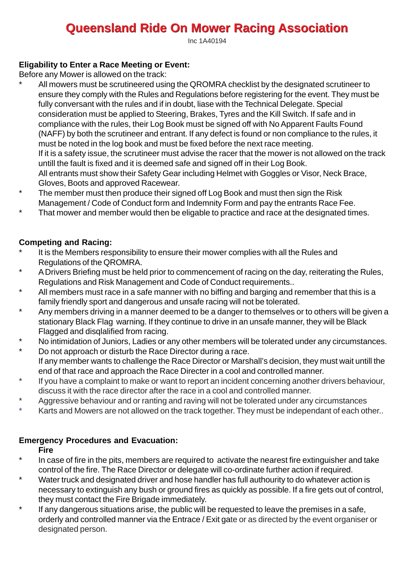# **Queensland Ride On Mower Racing Association**

Inc 1A40194

## **Eligability to Enter a Race Meeting or Event:**

Before any Mower is allowed on the track:

- All mowers must be scrutineered using the QROMRA checklist by the designated scrutineer to ensure they comply with the Rules and Regulations before registering for the event. They must be fully conversant with the rules and if in doubt, liase with the Technical Delegate. Special consideration must be applied to Steering, Brakes, Tyres and the Kill Switch. If safe and in compliance with the rules, their Log Book must be signed off with No Apparent Faults Found (NAFF) by both the scrutineer and entrant. If any defect is found or non compliance to the rules, it must be noted in the log book and must be fixed before the next race meeting. If it is a safety issue, the scrutineer must advise the racer that the mower is not allowed on the track untill the fault is fixed and it is deemed safe and signed off in their Log Book. All entrants must show their Safety Gear including Helmet with Goggles or Visor, Neck Brace, Gloves, Boots and approved Racewear.
- \* The member must then produce their signed off Log Book and must then sign the Risk Management / Code of Conduct form and Indemnity Form and pay the entrants Race Fee.
- \* That mower and member would then be eligable to practice and race at the designated times.

### **Competing and Racing:**

- It is the Members responsibility to ensure their mower complies with all the Rules and Regulations of the QROMRA.
- \* A Drivers Briefing must be held prior to commencement of racing on the day, reiterating the Rules, Regulations and Risk Management and Code of Conduct requirements..
- \* All members must race in a safe manner with no biffing and barging and remember that this is a family friendly sport and dangerous and unsafe racing will not be tolerated.
- \* Any members driving in a manner deemed to be a danger to themselves or to others will be given a stationary Black Flag warning. If they continue to drive in an unsafe manner, they will be Black Flagged and disqlalified from racing.
- \* No intimidation of Juniors, Ladies or any other members will be tolerated under any circumstances.<br>\* De pet approach or disturb the Base Director during a race.
- Do not approach or disturb the Race Director during a race. If any member wants to challenge the Race Director or Marshall's decision, they must wait untill the end of that race and approach the Race Directer in a cool and controlled manner.
- \* If you have a complaint to make or want to report an incident concerning another drivers behaviour, discuss it with the race director after the race in a cool and controlled manner.
- \* Aggressive behaviour and or ranting and raving will not be tolerated under any circumstances<br>\* Karts and Mowers are not allowed on the track together. They must be independent of each of
- Karts and Mowers are not allowed on the track together. They must be independant of each other..

## **Emergency Procedures and Evacuation:**

**Fire**

- \* In case of fire in the pits, members are required to activate the nearest fire extinguisher and take control of the fire. The Race Director or delegate will co-ordinate further action if required.
- \* Water truck and designated driver and hose handler has full authourity to do whatever action is necessary to extinguish any bush or ground fires as quickly as possible. If a fire gets out of control, they must contact the Fire Brigade immediately.
- \* If any dangerous situations arise, the public will be requested to leave the premises in a safe, orderly and controlled manner via the Entrace / Exit gate or as directed by the event organiser or designated person.